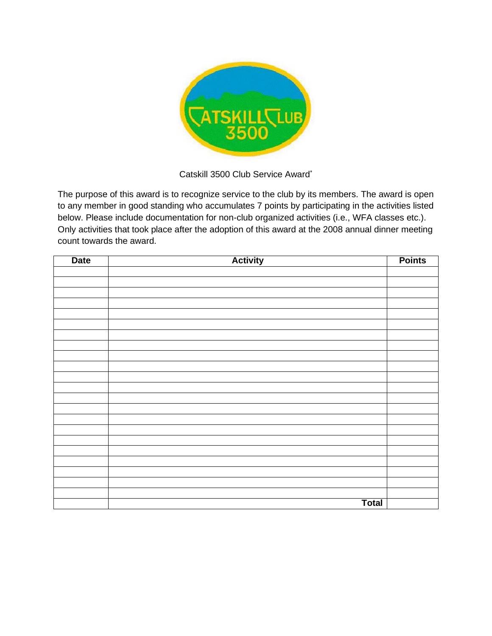

## Catskill 3500 Club Service Award\*

The purpose of this award is to recognize service to the club by its members. The award is open to any member in good standing who accumulates 7 points by participating in the activities listed below. Please include documentation for non-club organized activities (i.e., WFA classes etc.). Only activities that took place after the adoption of this award at the 2008 annual dinner meeting count towards the award.

| <b>Date</b> | <b>Activity</b> | <b>Points</b> |
|-------------|-----------------|---------------|
|             |                 |               |
|             |                 |               |
|             |                 |               |
|             |                 |               |
|             |                 |               |
|             |                 |               |
|             |                 |               |
|             |                 |               |
|             |                 |               |
|             |                 |               |
|             |                 |               |
|             |                 |               |
|             |                 |               |
|             |                 |               |
|             |                 |               |
|             |                 |               |
|             |                 |               |
|             |                 |               |
|             |                 |               |
|             |                 |               |
|             |                 |               |
|             |                 |               |
|             | <b>Total</b>    |               |